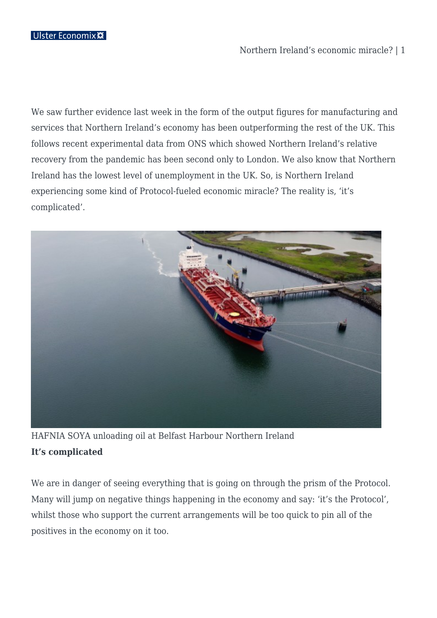### Northern Ireland's economic miracle? | 1

We saw further evidence last week in the form of the output figures for manufacturing and services that Northern Ireland's economy has been outperforming the rest of the UK. This follows recent experimental data from ONS which showed Northern Ireland's relative recovery from the pandemic has been second only to London. We also know that Northern Ireland has the lowest level of unemployment in the UK. So, is Northern Ireland experiencing some kind of Protocol-fueled economic miracle? The reality is, 'it's complicated'.



HAFNIA SOYA unloading oil at Belfast Harbour Northern Ireland **It's complicated**

We are in danger of seeing everything that is going on through the prism of the Protocol. Many will jump on negative things happening in the economy and say: 'it's the Protocol', whilst those who support the current arrangements will be too quick to pin all of the positives in the economy on it too.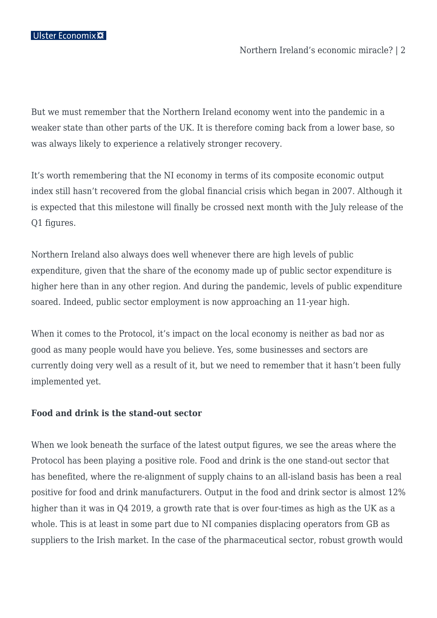But we must remember that the Northern Ireland economy went into the pandemic in a weaker state than other parts of the UK. It is therefore coming back from a lower base, so was always likely to experience a relatively stronger recovery.

It's worth remembering that the NI economy in terms of its composite economic output index still hasn't recovered from the global financial crisis which began in 2007. Although it is expected that this milestone will finally be crossed next month with the July release of the Q1 figures.

Northern Ireland also always does well whenever there are high levels of public expenditure, given that the share of the economy made up of public sector expenditure is higher here than in any other region. And during the pandemic, levels of public expenditure soared. Indeed, public sector employment is now approaching an 11-year high.

When it comes to the Protocol, it's impact on the local economy is neither as bad nor as good as many people would have you believe. Yes, some businesses and sectors are currently doing very well as a result of it, but we need to remember that it hasn't been fully implemented yet.

### **Food and drink is the stand-out sector**

When we look beneath the surface of the latest output figures, we see the areas where the Protocol has been playing a positive role. Food and drink is the one stand-out sector that has benefited, where the re-alignment of supply chains to an all-island basis has been a real positive for food and drink manufacturers. Output in the food and drink sector is almost 12% higher than it was in Q4 2019, a growth rate that is over four-times as high as the UK as a whole. This is at least in some part due to NI companies displacing operators from GB as suppliers to the Irish market. In the case of the pharmaceutical sector, robust growth would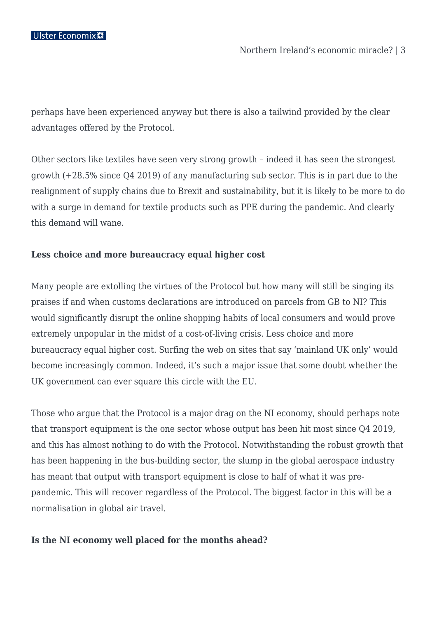perhaps have been experienced anyway but there is also a tailwind provided by the clear advantages offered by the Protocol.

Other sectors like textiles have seen very strong growth – indeed it has seen the strongest growth (+28.5% since Q4 2019) of any manufacturing sub sector. This is in part due to the realignment of supply chains due to Brexit and sustainability, but it is likely to be more to do with a surge in demand for textile products such as PPE during the pandemic. And clearly this demand will wane.

### **Less choice and more bureaucracy equal higher cost**

Many people are extolling the virtues of the Protocol but how many will still be singing its praises if and when customs declarations are introduced on parcels from GB to NI? This would significantly disrupt the online shopping habits of local consumers and would prove extremely unpopular in the midst of a cost-of-living crisis. Less choice and more bureaucracy equal higher cost. Surfing the web on sites that say 'mainland UK only' would become increasingly common. Indeed, it's such a major issue that some doubt whether the UK government can ever square this circle with the EU.

Those who argue that the Protocol is a major drag on the NI economy, should perhaps note that transport equipment is the one sector whose output has been hit most since Q4 2019, and this has almost nothing to do with the Protocol. Notwithstanding the robust growth that has been happening in the bus-building sector, the slump in the global aerospace industry has meant that output with transport equipment is close to half of what it was prepandemic. This will recover regardless of the Protocol. The biggest factor in this will be a normalisation in global air travel.

### **Is the NI economy well placed for the months ahead?**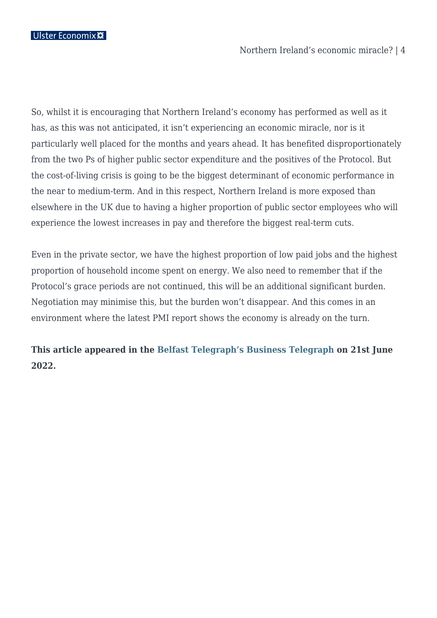So, whilst it is encouraging that Northern Ireland's economy has performed as well as it has, as this was not anticipated, it isn't experiencing an economic miracle, nor is it particularly well placed for the months and years ahead. It has benefited disproportionately from the two Ps of higher public sector expenditure and the positives of the Protocol. But the cost-of-living crisis is going to be the biggest determinant of economic performance in the near to medium-term. And in this respect, Northern Ireland is more exposed than elsewhere in the UK due to having a higher proportion of public sector employees who will experience the lowest increases in pay and therefore the biggest real-term cuts.

Even in the private sector, we have the highest proportion of low paid jobs and the highest proportion of household income spent on energy. We also need to remember that if the Protocol's grace periods are not continued, this will be an additional significant burden. Negotiation may minimise this, but the burden won't disappear. And this comes in an environment where the latest PMI report shows the economy is already on the turn.

# **This article appeared in the [Belfast Telegraph's Business Telegraph](https://www.belfasttelegraph.co.uk/business/) on 21st June 2022.**